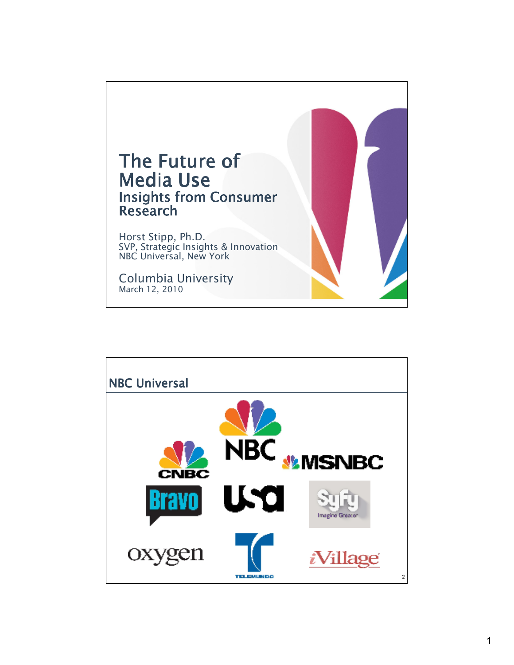

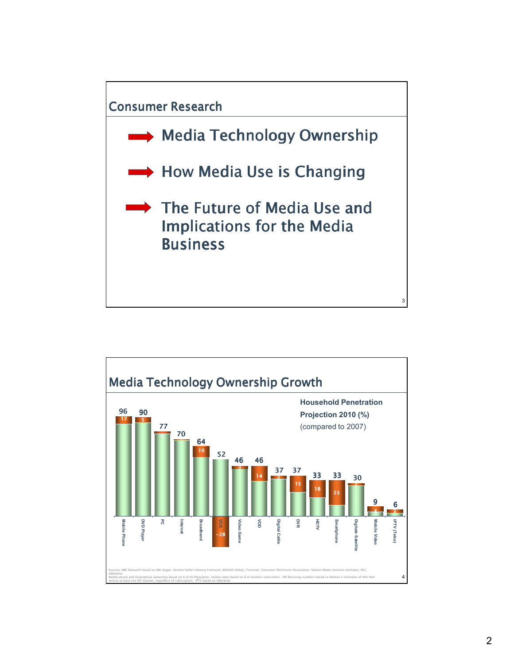

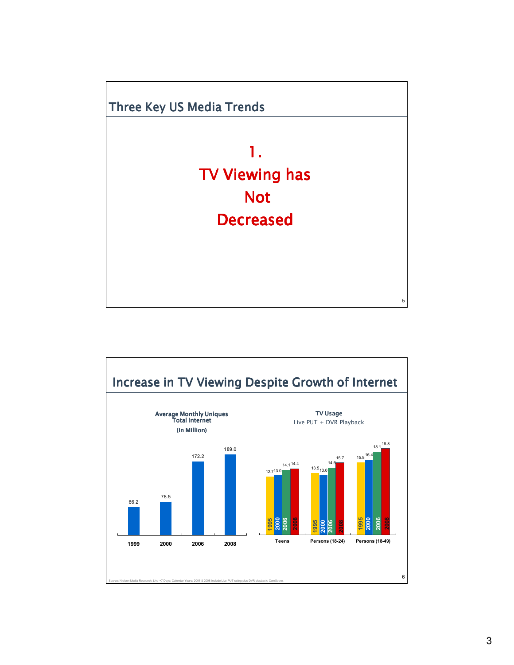

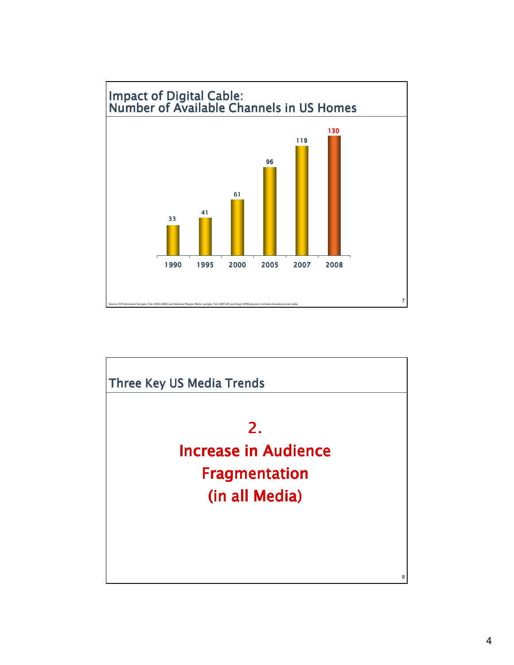

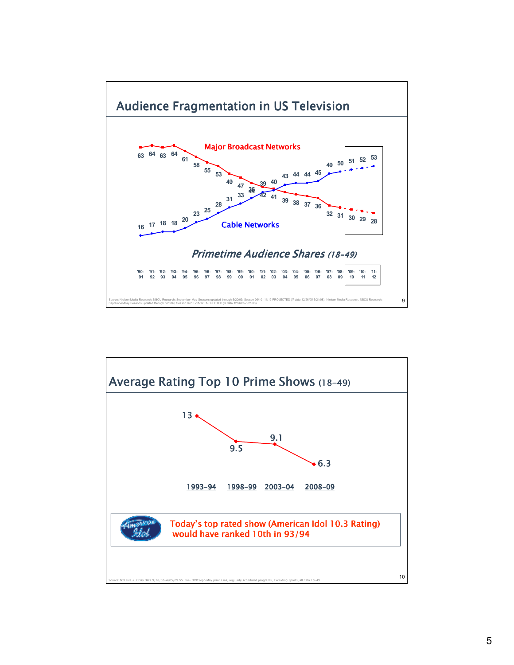

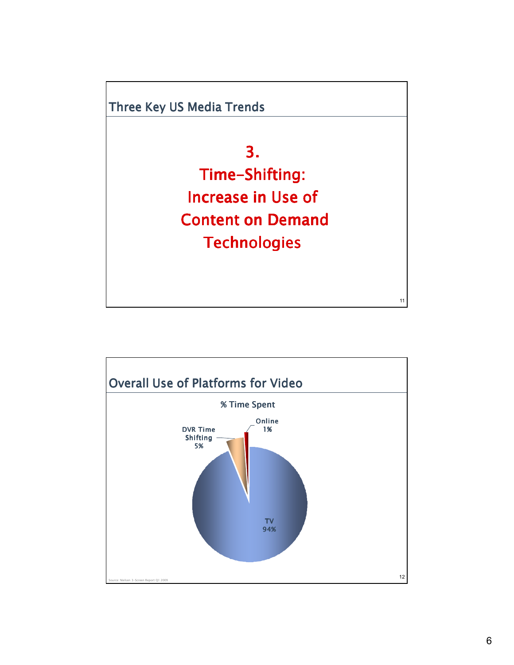

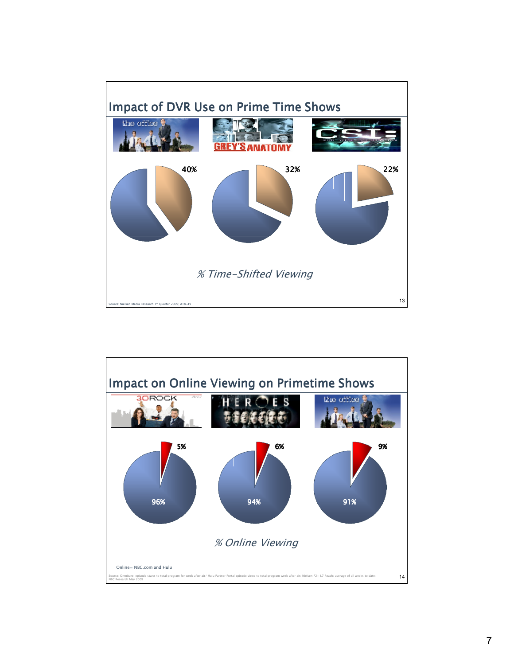